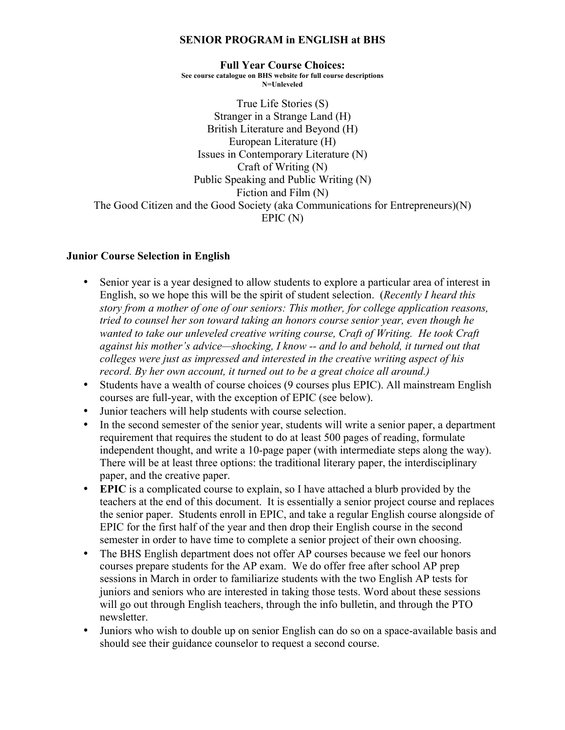## **SENIOR PROGRAM in ENGLISH at BHS**

**Full Year Course Choices: See course catalogue on BHS website for full course descriptions N=Unleveled**

True Life Stories (S) Stranger in a Strange Land (H) British Literature and Beyond (H) European Literature (H) Issues in Contemporary Literature (N) Craft of Writing (N) Public Speaking and Public Writing (N) Fiction and Film (N) The Good Citizen and the Good Society (aka Communications for Entrepreneurs)(N) EPIC (N)

## **Junior Course Selection in English**

- Senior year is a year designed to allow students to explore a particular area of interest in English, so we hope this will be the spirit of student selection. (*Recently I heard this story from a mother of one of our seniors: This mother, for college application reasons, tried to counsel her son toward taking an honors course senior year, even though he wanted to take our unleveled creative writing course, Craft of Writing. He took Craft against his mother's advice—shocking, I know -- and lo and behold, it turned out that colleges were just as impressed and interested in the creative writing aspect of his record. By her own account, it turned out to be a great choice all around.)*
- Students have a wealth of course choices (9 courses plus EPIC). All mainstream English courses are full-year, with the exception of EPIC (see below).
- Junior teachers will help students with course selection.
- In the second semester of the senior year, students will write a senior paper, a department requirement that requires the student to do at least 500 pages of reading, formulate independent thought, and write a 10-page paper (with intermediate steps along the way). There will be at least three options: the traditional literary paper, the interdisciplinary paper, and the creative paper.
- **EPIC** is a complicated course to explain, so I have attached a blurb provided by the teachers at the end of this document. It is essentially a senior project course and replaces the senior paper. Students enroll in EPIC, and take a regular English course alongside of EPIC for the first half of the year and then drop their English course in the second semester in order to have time to complete a senior project of their own choosing.
- The BHS English department does not offer AP courses because we feel our honors courses prepare students for the AP exam. We do offer free after school AP prep sessions in March in order to familiarize students with the two English AP tests for juniors and seniors who are interested in taking those tests. Word about these sessions will go out through English teachers, through the info bulletin, and through the PTO newsletter.
- Juniors who wish to double up on senior English can do so on a space-available basis and should see their guidance counselor to request a second course.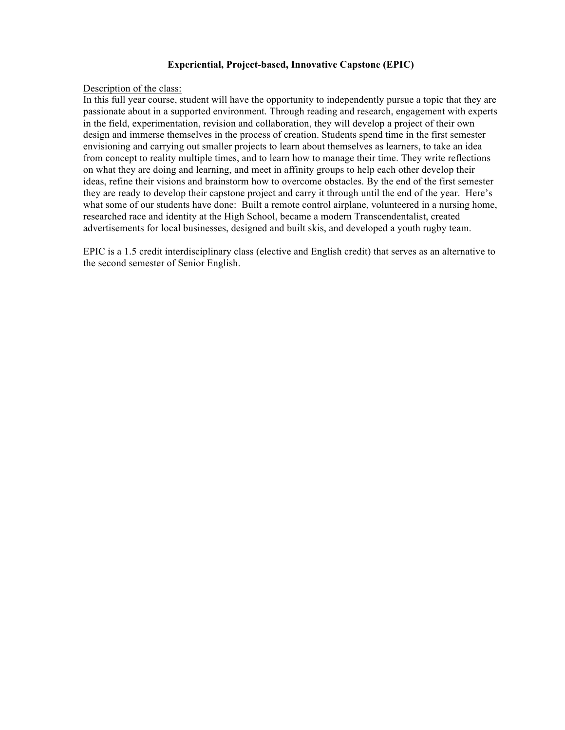## **Experiential, Project-based, Innovative Capstone (EPIC)**

## Description of the class:

In this full year course, student will have the opportunity to independently pursue a topic that they are passionate about in a supported environment. Through reading and research, engagement with experts in the field, experimentation, revision and collaboration, they will develop a project of their own design and immerse themselves in the process of creation. Students spend time in the first semester envisioning and carrying out smaller projects to learn about themselves as learners, to take an idea from concept to reality multiple times, and to learn how to manage their time. They write reflections on what they are doing and learning, and meet in affinity groups to help each other develop their ideas, refine their visions and brainstorm how to overcome obstacles. By the end of the first semester they are ready to develop their capstone project and carry it through until the end of the year. Here's what some of our students have done: Built a remote control airplane, volunteered in a nursing home, researched race and identity at the High School, became a modern Transcendentalist, created advertisements for local businesses, designed and built skis, and developed a youth rugby team.

EPIC is a 1.5 credit interdisciplinary class (elective and English credit) that serves as an alternative to the second semester of Senior English.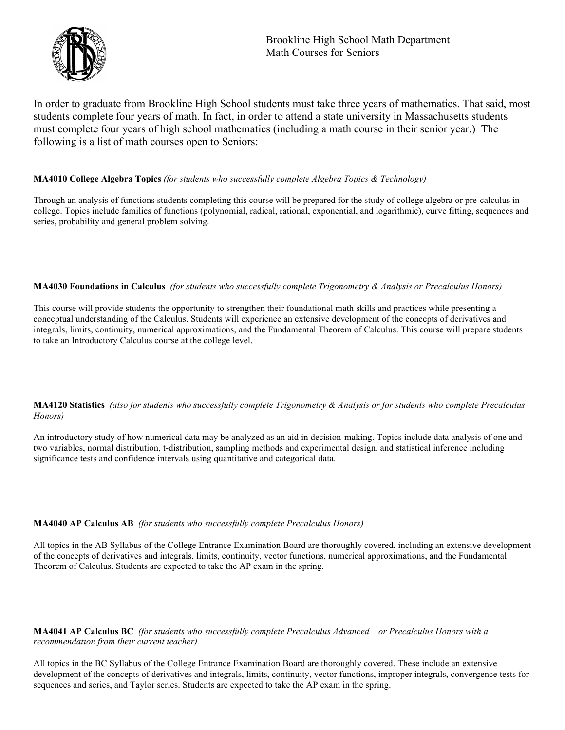

In order to graduate from Brookline High School students must take three years of mathematics. That said, most students complete four years of math. In fact, in order to attend a state university in Massachusetts students must complete four years of high school mathematics (including a math course in their senior year.) The following is a list of math courses open to Seniors:

## **MA4010 College Algebra Topics** *(for students who successfully complete Algebra Topics & Technology)*

Through an analysis of functions students completing this course will be prepared for the study of college algebra or pre-calculus in college. Topics include families of functions (polynomial, radical, rational, exponential, and logarithmic), curve fitting, sequences and series, probability and general problem solving.

### **MA4030 Foundations in Calculus** *(for students who successfully complete Trigonometry & Analysis or Precalculus Honors)*

This course will provide students the opportunity to strengthen their foundational math skills and practices while presenting a conceptual understanding of the Calculus. Students will experience an extensive development of the concepts of derivatives and integrals, limits, continuity, numerical approximations, and the Fundamental Theorem of Calculus. This course will prepare students to take an Introductory Calculus course at the college level.

**MA4120 Statistics** *(also for students who successfully complete Trigonometry & Analysis or for students who complete Precalculus Honors)*

An introductory study of how numerical data may be analyzed as an aid in decision-making. Topics include data analysis of one and two variables, normal distribution, t-distribution, sampling methods and experimental design, and statistical inference including significance tests and confidence intervals using quantitative and categorical data.

### **MA4040 AP Calculus AB** *(for students who successfully complete Precalculus Honors)*

All topics in the AB Syllabus of the College Entrance Examination Board are thoroughly covered, including an extensive development of the concepts of derivatives and integrals, limits, continuity, vector functions, numerical approximations, and the Fundamental Theorem of Calculus. Students are expected to take the AP exam in the spring.

**MA4041 AP Calculus BC** *(for students who successfully complete Precalculus Advanced – or Precalculus Honors with a recommendation from their current teacher)*

All topics in the BC Syllabus of the College Entrance Examination Board are thoroughly covered. These include an extensive development of the concepts of derivatives and integrals, limits, continuity, vector functions, improper integrals, convergence tests for sequences and series, and Taylor series. Students are expected to take the AP exam in the spring.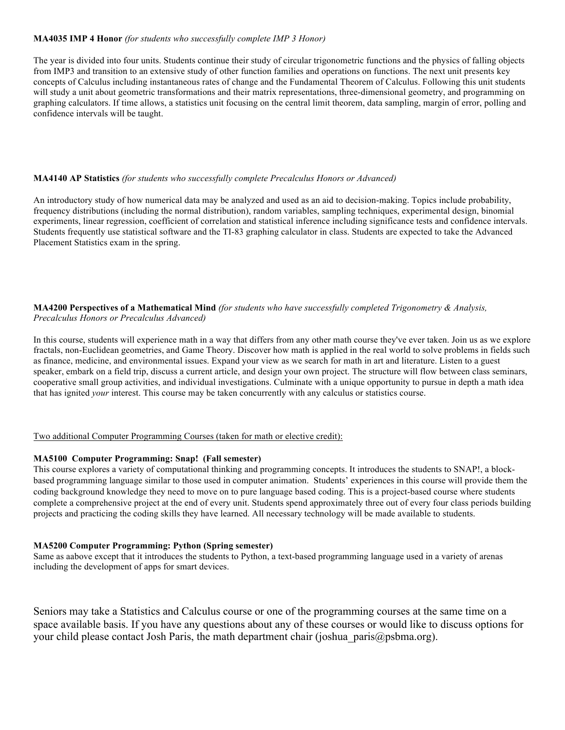### **MA4035 IMP 4 Honor** *(for students who successfully complete IMP 3 Honor)*

The year is divided into four units. Students continue their study of circular trigonometric functions and the physics of falling objects from IMP3 and transition to an extensive study of other function families and operations on functions. The next unit presents key concepts of Calculus including instantaneous rates of change and the Fundamental Theorem of Calculus. Following this unit students will study a unit about geometric transformations and their matrix representations, three-dimensional geometry, and programming on graphing calculators. If time allows, a statistics unit focusing on the central limit theorem, data sampling, margin of error, polling and confidence intervals will be taught.

#### **MA4140 AP Statistics** *(for students who successfully complete Precalculus Honors or Advanced)*

An introductory study of how numerical data may be analyzed and used as an aid to decision-making. Topics include probability, frequency distributions (including the normal distribution), random variables, sampling techniques, experimental design, binomial experiments, linear regression, coefficient of correlation and statistical inference including significance tests and confidence intervals. Students frequently use statistical software and the TI-83 graphing calculator in class. Students are expected to take the Advanced Placement Statistics exam in the spring.

## **MA4200 Perspectives of a Mathematical Mind** *(for students who have successfully completed Trigonometry & Analysis, Precalculus Honors or Precalculus Advanced)*

In this course, students will experience math in a way that differs from any other math course they've ever taken. Join us as we explore fractals, non-Euclidean geometries, and Game Theory. Discover how math is applied in the real world to solve problems in fields such as finance, medicine, and environmental issues. Expand your view as we search for math in art and literature. Listen to a guest speaker, embark on a field trip, discuss a current article, and design your own project. The structure will flow between class seminars, cooperative small group activities, and individual investigations. Culminate with a unique opportunity to pursue in depth a math idea that has ignited *your* interest. This course may be taken concurrently with any calculus or statistics course.

#### Two additional Computer Programming Courses (taken for math or elective credit):

## **MA5100 Computer Programming: Snap! (Fall semester)**

This course explores a variety of computational thinking and programming concepts. It introduces the students to SNAP!, a blockbased programming language similar to those used in computer animation. Students' experiences in this course will provide them the coding background knowledge they need to move on to pure language based coding. This is a project-based course where students complete a comprehensive project at the end of every unit. Students spend approximately three out of every four class periods building projects and practicing the coding skills they have learned. All necessary technology will be made available to students.

#### **MA5200 Computer Programming: Python (Spring semester)**

Same as aabove except that it introduces the students to Python, a text-based programming language used in a variety of arenas including the development of apps for smart devices.

Seniors may take a Statistics and Calculus course or one of the programming courses at the same time on a space available basis. If you have any questions about any of these courses or would like to discuss options for your child please contact Josh Paris, the math department chair (joshua paris@psbma.org).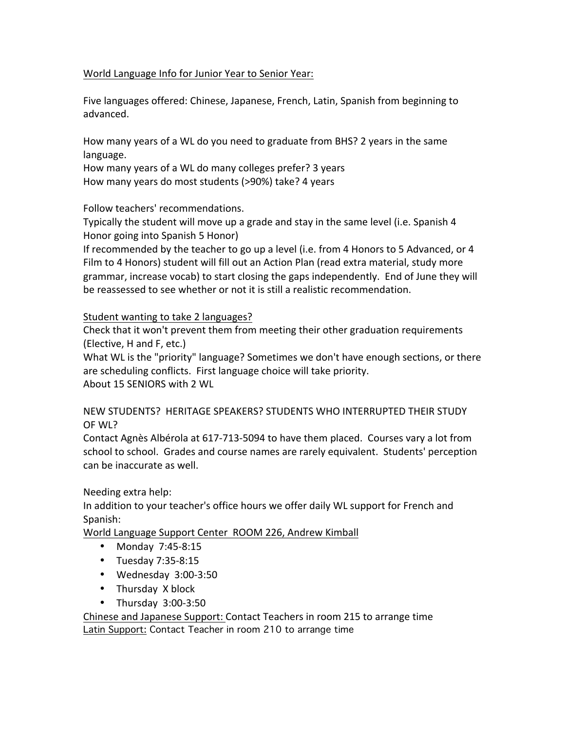## World Language Info for Junior Year to Senior Year:

Five languages offered: Chinese, Japanese, French, Latin, Spanish from beginning to advanced.

How many years of a WL do you need to graduate from BHS? 2 years in the same language.

How many years of a WL do many colleges prefer? 3 years How many years do most students (>90%) take? 4 years

Follow teachers' recommendations.

Typically the student will move up a grade and stay in the same level (i.e. Spanish 4 Honor going into Spanish 5 Honor)

If recommended by the teacher to go up a level (i.e. from 4 Honors to 5 Advanced, or 4 Film to 4 Honors) student will fill out an Action Plan (read extra material, study more grammar, increase vocab) to start closing the gaps independently. End of June they will be reassessed to see whether or not it is still a realistic recommendation.

Student wanting to take 2 languages?

Check that it won't prevent them from meeting their other graduation requirements (Elective, H and F, etc.)

What WL is the "priority" language? Sometimes we don't have enough sections, or there are scheduling conflicts. First language choice will take priority. About 15 SENIORS with 2 WL

NEW STUDENTS? HERITAGE SPEAKERS? STUDENTS WHO INTERRUPTED THEIR STUDY OF WL?

Contact Agnès Albérola at 617-713-5094 to have them placed. Courses vary a lot from school to school. Grades and course names are rarely equivalent. Students' perception can be inaccurate as well.

Needing extra help:

In addition to your teacher's office hours we offer daily WL support for French and Spanish:

World Language Support Center ROOM 226, Andrew Kimball

- Monday 7:45-8:15
- Tuesday  $7:35-8:15$
- Wednesday  $3:00-3:50$
- Thursday X block
- Thursday  $3:00-3:50$

Chinese and Japanese Support: Contact Teachers in room 215 to arrange time **Latin Support: Contact Teacher in room 210 to arrange time**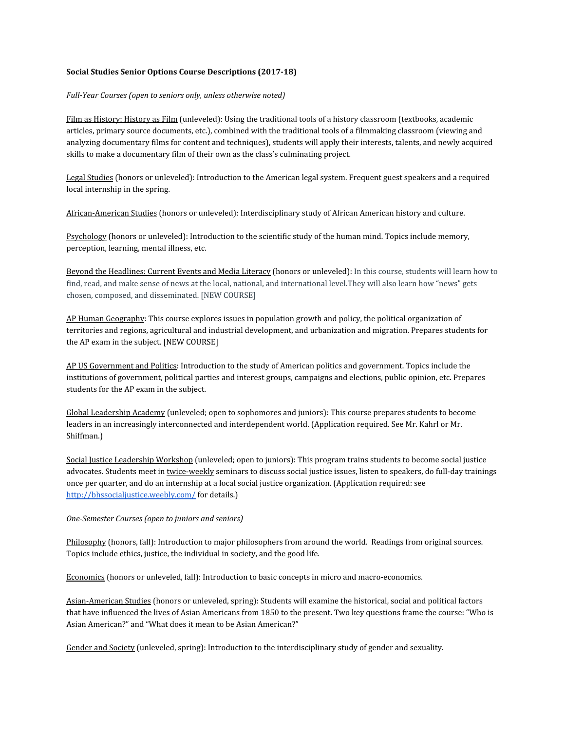#### Social Studies Senior Options Course Descriptions (2017-18)

#### Full-Year Courses (open to seniors only, unless otherwise noted)

Film as History; History as Film (unleveled): Using the traditional tools of a history classroom (textbooks, academic articles, primary source documents, etc.), combined with the traditional tools of a filmmaking classroom (viewing and analyzing documentary films for content and techniques), students will apply their interests, talents, and newly acquired skills to make a documentary film of their own as the class's culminating project.

Legal Studies (honors or unleveled): Introduction to the American legal system. Frequent guest speakers and a required local internship in the spring.

African-American Studies (honors or unleveled): Interdisciplinary study of African American history and culture.

Psychology (honors or unleveled): Introduction to the scientific study of the human mind. Topics include memory, perception, learning, mental illness, etc.

Beyond the Headlines: Current Events and Media Literacy (honors or unleveled): In this course, students will learn how to find, read, and make sense of news at the local, national, and international level. They will also learn how "news" gets chosen, composed, and disseminated. [NEW COURSE]

<u>AP Human Geography</u>: This course explores issues in population growth and policy, the political organization of territories and regions, agricultural and industrial development, and urbanization and migration. Prepares students for the AP exam in the subject. [NEW COURSE]

AP US Government and Politics: Introduction to the study of American politics and government. Topics include the institutions of government, political parties and interest groups, campaigns and elections, public opinion, etc. Prepares students for the AP exam in the subject.

Global Leadership Academy (unleveled; open to sophomores and juniors): This course prepares students to become leaders in an increasingly interconnected and interdependent world. (Application required. See Mr. Kahrl or Mr. Shiffman.)

Social Justice Leadership Workshop (unleveled; open to juniors): This program trains students to become social justice advocates. Students meet in twice-weekly seminars to discuss social justice issues, listen to speakers, do full-day trainings once per quarter, and do an internship at a local social justice organization. (Application required: see http://bhssocialjustice.weebly.com/ for details.)

#### *One-Semester Courses (open to juniors and seniors)*

Philosophy (honors, fall): Introduction to major philosophers from around the world. Readings from original sources. Topics include ethics, justice, the individual in society, and the good life.

Economics (honors or unleveled, fall): Introduction to basic concepts in micro and macro-economics.

Asian-American Studies (honors or unleveled, spring): Students will examine the historical, social and political factors that have influenced the lives of Asian Americans from 1850 to the present. Two key questions frame the course: "Who is Asian American?" and "What does it mean to be Asian American?"

Gender and Society (unleveled, spring): Introduction to the interdisciplinary study of gender and sexuality.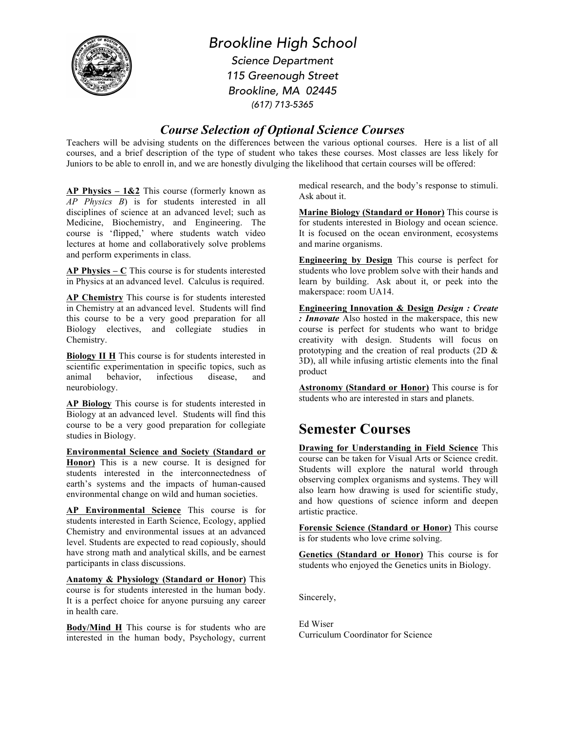

*Brookline High School Science Department 115 Greenough Street Brookline, MA 02445 (617) 713-5365*

## *Course Selection of Optional Science Courses*

Teachers will be advising students on the differences between the various optional courses. Here is a list of all courses, and a brief description of the type of student who takes these courses. Most classes are less likely for Juniors to be able to enroll in, and we are honestly divulging the likelihood that certain courses will be offered:

**AP Physics – 1&2** This course (formerly known as *AP Physics B*) is for students interested in all disciplines of science at an advanced level; such as Medicine, Biochemistry, and Engineering. The course is 'flipped,' where students watch video lectures at home and collaboratively solve problems and perform experiments in class.

**AP Physics – C** This course is for students interested in Physics at an advanced level. Calculus is required.

**AP Chemistry** This course is for students interested in Chemistry at an advanced level. Students will find this course to be a very good preparation for all Biology electives, and collegiate studies in Chemistry.

**Biology II H** This course is for students interested in scientific experimentation in specific topics, such as animal behavior, infectious disease, and neurobiology.

**AP Biology** This course is for students interested in Biology at an advanced level. Students will find this course to be a very good preparation for collegiate studies in Biology.

**Environmental Science and Society (Standard or Honor)** This is a new course. It is designed for students interested in the interconnectedness of earth's systems and the impacts of human-caused environmental change on wild and human societies.

**AP Environmental Science** This course is for students interested in Earth Science, Ecology, applied Chemistry and environmental issues at an advanced level. Students are expected to read copiously, should have strong math and analytical skills, and be earnest participants in class discussions.

**Anatomy & Physiology (Standard or Honor)** This course is for students interested in the human body. It is a perfect choice for anyone pursuing any career in health care.

**Body/Mind H** This course is for students who are interested in the human body, Psychology, current medical research, and the body's response to stimuli. Ask about it.

**Marine Biology (Standard or Honor)** This course is for students interested in Biology and ocean science. It is focused on the ocean environment, ecosystems and marine organisms.

**Engineering by Design** This course is perfect for students who love problem solve with their hands and learn by building. Ask about it, or peek into the makerspace: room UA14.

**Engineering Innovation & Design** *Design : Create : Innovate* Also hosted in the makerspace, this new course is perfect for students who want to bridge creativity with design. Students will focus on prototyping and the creation of real products (2D & 3D), all while infusing artistic elements into the final product

**Astronomy (Standard or Honor)** This course is for students who are interested in stars and planets.

# **Semester Courses**

**Drawing for Understanding in Field Science** This course can be taken for Visual Arts or Science credit. Students will explore the natural world through observing complex organisms and systems. They will also learn how drawing is used for scientific study, and how questions of science inform and deepen artistic practice.

**Forensic Science (Standard or Honor)** This course is for students who love crime solving.

**Genetics (Standard or Honor)** This course is for students who enjoyed the Genetics units in Biology.

Sincerely,

Ed Wiser Curriculum Coordinator for Science